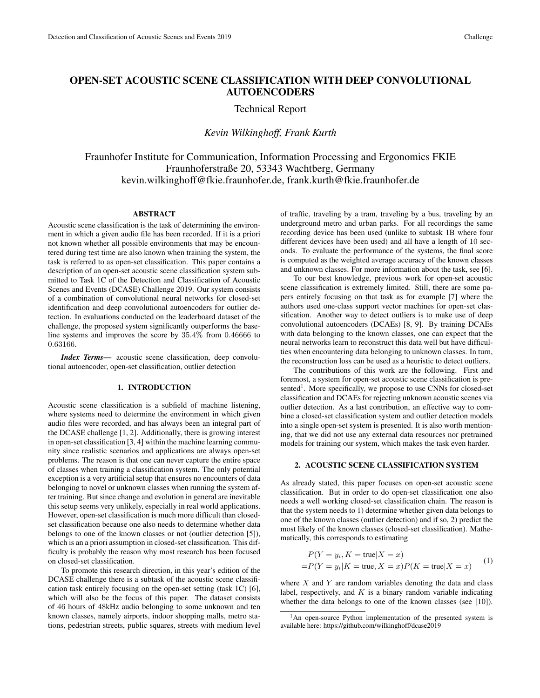# OPEN-SET ACOUSTIC SCENE CLASSIFICATION WITH DEEP CONVOLUTIONAL AUTOENCODERS

# Technical Report

# *Kevin Wilkinghoff, Frank Kurth*

Fraunhofer Institute for Communication, Information Processing and Ergonomics FKIE Fraunhoferstraße 20, 53343 Wachtberg, Germany kevin.wilkinghoff@fkie.fraunhofer.de, frank.kurth@fkie.fraunhofer.de

### ABSTRACT

Acoustic scene classification is the task of determining the environment in which a given audio file has been recorded. If it is a priori not known whether all possible environments that may be encountered during test time are also known when training the system, the task is referred to as open-set classification. This paper contains a description of an open-set acoustic scene classification system submitted to Task 1C of the Detection and Classification of Acoustic Scenes and Events (DCASE) Challenge 2019. Our system consists of a combination of convolutional neural networks for closed-set identification and deep convolutional autoencoders for outlier detection. In evaluations conducted on the leaderboard dataset of the challenge, the proposed system significantly outperforms the baseline systems and improves the score by 35.4% from 0.46666 to 0.63166.

*Index Terms*— acoustic scene classification, deep convolutional autoencoder, open-set classification, outlier detection

### 1. INTRODUCTION

Acoustic scene classification is a subfield of machine listening, where systems need to determine the environment in which given audio files were recorded, and has always been an integral part of the DCASE challenge [1, 2]. Additionally, there is growing interest in open-set classification [3, 4] within the machine learning community since realistic scenarios and applications are always open-set problems. The reason is that one can never capture the entire space of classes when training a classification system. The only potential exception is a very artificial setup that ensures no encounters of data belonging to novel or unknown classes when running the system after training. But since change and evolution in general are inevitable this setup seems very unlikely, especially in real world applications. However, open-set classification is much more difficult than closedset classification because one also needs to determine whether data belongs to one of the known classes or not (outlier detection [5]), which is an a priori assumption in closed-set classification. This difficulty is probably the reason why most research has been focused on closed-set classification.

To promote this research direction, in this year's edition of the DCASE challenge there is a subtask of the acoustic scene classification task entirely focusing on the open-set setting (task 1C) [6], which will also be the focus of this paper. The dataset consists of 46 hours of 48kHz audio belonging to some unknown and ten known classes, namely airports, indoor shopping malls, metro stations, pedestrian streets, public squares, streets with medium level of traffic, traveling by a tram, traveling by a bus, traveling by an underground metro and urban parks. For all recordings the same recording device has been used (unlike to subtask 1B where four different devices have been used) and all have a length of 10 seconds. To evaluate the performance of the systems, the final score is computed as the weighted average accuracy of the known classes and unknown classes. For more information about the task, see [6].

To our best knowledge, previous work for open-set acoustic scene classification is extremely limited. Still, there are some papers entirely focusing on that task as for example [7] where the authors used one-class support vector machines for open-set classification. Another way to detect outliers is to make use of deep convolutional autoencoders (DCAEs) [8, 9]. By training DCAEs with data belonging to the known classes, one can expect that the neural networks learn to reconstruct this data well but have difficulties when encountering data belonging to unknown classes. In turn, the reconstruction loss can be used as a heuristic to detect outliers.

The contributions of this work are the following. First and foremost, a system for open-set acoustic scene classification is presented<sup>1</sup>. More specifically, we propose to use CNNs for closed-set classification and DCAEs for rejecting unknown acoustic scenes via outlier detection. As a last contribution, an effective way to combine a closed-set classification system and outlier detection models into a single open-set system is presented. It is also worth mentioning, that we did not use any external data resources nor pretrained models for training our system, which makes the task even harder.

### 2. ACOUSTIC SCENE CLASSIFICATION SYSTEM

As already stated, this paper focuses on open-set acoustic scene classification. But in order to do open-set classification one also needs a well working closed-set classification chain. The reason is that the system needs to 1) determine whether given data belongs to one of the known classes (outlier detection) and if so, 2) predict the most likely of the known classes (closed-set classification). Mathematically, this corresponds to estimating

$$
P(Y = y_i, K = \text{true}|X = x)
$$
  
=
$$
P(Y = y_i|K = \text{true}, X = x)P(K = \text{true}|X = x)
$$
 (1)

where  $X$  and  $Y$  are random variables denoting the data and class label, respectively, and  $K$  is a binary random variable indicating whether the data belongs to one of the known classes (see [10]).

<sup>&</sup>lt;sup>1</sup>An open-source Python implementation of the presented system is available here: https://github.com/wilkinghoff/dcase2019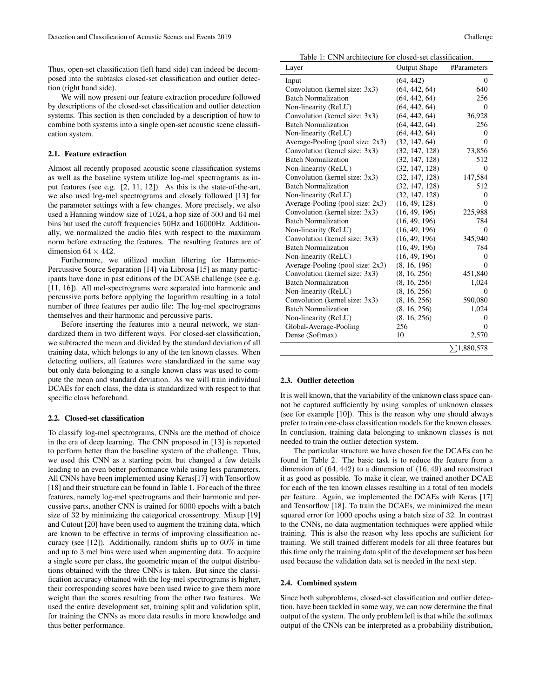Thus, open-set classification (left hand side) can indeed be decomposed into the subtasks closed-set classification and outlier detection (right hand side).

We will now present our feature extraction procedure followed by descriptions of the closed-set classification and outlier detection systems. This section is then concluded by a description of how to combine both systems into a single open-set acoustic scene classification system.

## 2.1. Feature extraction

Almost all recently proposed acoustic scene classification systems as well as the baseline system utilize log-mel spectrograms as input features (see e.g. [2, 11, 12]). As this is the state-of-the-art, we also used log-mel spectrograms and closely followed [13] for the parameter settings with a few changes. More precisely, we also used a Hanning window size of 1024, a hop size of 500 and 64 mel bins but used the cutoff frequencies 50Hz and 16000Hz. Additionally, we normalized the audio files with respect to the maximum norm before extracting the features. The resulting features are of dimension  $64 \times 442$ .

Furthermore, we utilized median filtering for Harmonic-Percussive Source Separation [14] via Librosa [15] as many participants have done in past editions of the DCASE challenge (see e.g. [11, 16]). All mel-spectrograms were separated into harmonic and percussive parts before applying the logarithm resulting in a total number of three features per audio file: The log-mel spectrograms themselves and their harmonic and percussive parts.

Before inserting the features into a neural network, we standardized them in two different ways. For closed-set classification, we subtracted the mean and divided by the standard deviation of all training data, which belongs to any of the ten known classes. When detecting outliers, all features were standardized in the same way but only data belonging to a single known class was used to compute the mean and standard deviation. As we will train individual DCAEs for each class, the data is standardized with respect to that specific class beforehand.

#### 2.2. Closed-set classification

To classify log-mel spectrograms, CNNs are the method of choice in the era of deep learning. The CNN proposed in [13] is reported to perform better than the baseline system of the challenge. Thus, we used this CNN as a starting point but changed a few details leading to an even better performance while using less parameters. All CNNs have been implemented using Keras[17] with Tensorflow [18] and their structure can be found in Table 1. For each of the three features, namely log-mel spectrograms and their harmonic and percussive parts, another CNN is trained for 6000 epochs with a batch size of 32 by minimizing the categorical crossentropy. Mixup [19] and Cutout [20] have been used to augment the training data, which are known to be effective in terms of improving classification accuracy (see [12]). Additionally, random shifts up to 60% in time and up to 3 mel bins were used when augmenting data. To acquire a single score per class, the geometric mean of the output distributions obtained with the three CNNs is taken. But since the classification accuracy obtained with the log-mel spectrograms is higher, their corresponding scores have been used twice to give them more weight than the scores resulting from the other two features. We used the entire development set, training split and validation split, for training the CNNs as more data results in more knowledge and thus better performance.

Table 1: CNN architecture for closed-set classification.

| Layer                            | <b>Output Shape</b> | #Parameters        |
|----------------------------------|---------------------|--------------------|
| Input                            | (64, 442)           | $\Omega$           |
| Convolution (kernel size: 3x3)   | (64, 442, 64)       | 640                |
| <b>Batch Normalization</b>       | (64, 442, 64)       | 256                |
| Non-linearity (ReLU)             | (64, 442, 64)       | $\Omega$           |
| Convolution (kernel size: 3x3)   | (64, 442, 64)       | 36,928             |
| <b>Batch Normalization</b>       | (64, 442, 64)       | 256                |
| Non-linearity (ReLU)             | (64, 442, 64)       | 0                  |
| Average-Pooling (pool size: 2x3) | (32, 147, 64)       | $\Omega$           |
| Convolution (kernel size: 3x3)   | (32, 147, 128)      | 73,856             |
| <b>Batch Normalization</b>       | (32, 147, 128)      | 512                |
| Non-linearity (ReLU)             | (32, 147, 128)      | $\Omega$           |
| Convolution (kernel size: 3x3)   | (32, 147, 128)      | 147,584            |
| <b>Batch Normalization</b>       | (32, 147, 128)      | 512                |
| Non-linearity (ReLU)             | (32, 147, 128)      | 0                  |
| Average-Pooling (pool size: 2x3) | (16, 49, 128)       | $\Omega$           |
| Convolution (kernel size: 3x3)   | (16, 49, 196)       | 225,988            |
| <b>Batch Normalization</b>       | (16, 49, 196)       | 784                |
| Non-linearity (ReLU)             | (16, 49, 196)       | 0                  |
| Convolution (kernel size: 3x3)   | (16, 49, 196)       | 345,940            |
| <b>Batch Normalization</b>       | (16, 49, 196)       | 784                |
| Non-linearity (ReLU)             | (16, 49, 196)       | 0                  |
| Average-Pooling (pool size: 2x3) | (8, 16, 196)        | $\Omega$           |
| Convolution (kernel size: 3x3)   | (8, 16, 256)        | 451,840            |
| <b>Batch Normalization</b>       | (8, 16, 256)        | 1,024              |
| Non-linearity (ReLU)             | (8, 16, 256)        | 0                  |
| Convolution (kernel size: 3x3)   | (8, 16, 256)        | 590,080            |
| <b>Batch Normalization</b>       | (8, 16, 256)        | 1,024              |
| Non-linearity (ReLU)             | (8, 16, 256)        | 0                  |
| Global-Average-Pooling           | 256                 | 0                  |
| Dense (Softmax)                  | 10                  | 2,570              |
|                                  |                     | $\Sigma$ 1,880,578 |

### 2.3. Outlier detection

It is well known, that the variability of the unknown class space cannot be captured sufficiently by using samples of unknown classes (see for example [10]). This is the reason why one should always prefer to train one-class classification models for the known classes. In conclusion, training data belonging to unknown classes is not needed to train the outlier detection system.

The particular structure we have chosen for the DCAEs can be found in Table 2. The basic task is to reduce the feature from a dimension of (64, 442) to a dimension of (16, 49) and reconstruct it as good as possible. To make it clear, we trained another DCAE for each of the ten known classes resulting in a total of ten models per feature. Again, we implemented the DCAEs with Keras [17] and Tensorflow [18]. To train the DCAEs, we minimized the mean squared error for 1000 epochs using a batch size of 32. In contrast to the CNNs, no data augmentation techniques were applied while training. This is also the reason why less epochs are sufficient for training. We still trained different models for all three features but this time only the training data split of the development set has been used because the validation data set is needed in the next step.

#### 2.4. Combined system

Since both subproblems, closed-set classification and outlier detection, have been tackled in some way, we can now determine the final output of the system. The only problem left is that while the softmax output of the CNNs can be interpreted as a probability distribution,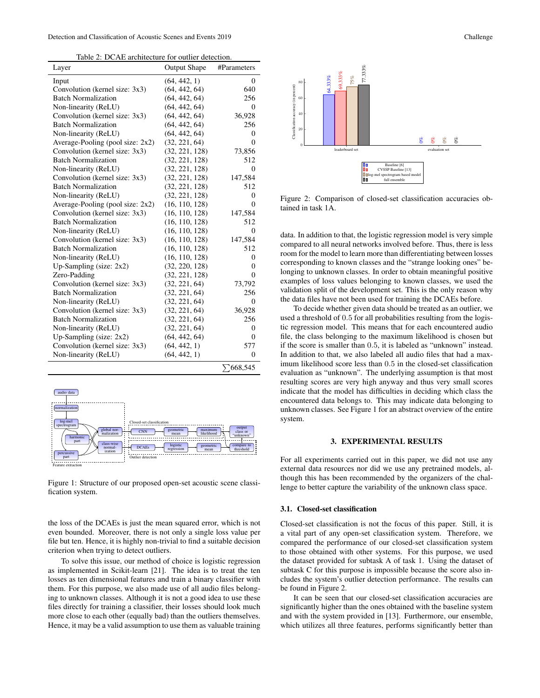|--|

| Layer                               | <b>Output Shape</b> | #Parameters      |
|-------------------------------------|---------------------|------------------|
| Input                               | (64, 442, 1)        | $\theta$         |
| Convolution (kernel size: 3x3)      | (64, 442, 64)       | 640              |
| <b>Batch Normalization</b>          | (64, 442, 64)       | 256              |
| Non-linearity (ReLU)                | (64, 442, 64)       | $\theta$         |
| Convolution (kernel size: 3x3)      | (64, 442, 64)       | 36,928           |
| <b>Batch Normalization</b>          | (64, 442, 64)       | 256              |
| Non-linearity (ReLU)                | (64, 442, 64)       | $\theta$         |
| Average-Pooling (pool size: $2x2$ ) | (32, 221, 64)       | $\Omega$         |
| Convolution (kernel size: 3x3)      | (32, 221, 128)      | 73,856           |
| <b>Batch Normalization</b>          | (32, 221, 128)      | 512              |
| Non-linearity (ReLU)                | (32, 221, 128)      | $\Omega$         |
| Convolution (kernel size: 3x3)      | (32, 221, 128)      | 147,584          |
| <b>Batch Normalization</b>          | (32, 221, 128)      | 512              |
| Non-linearity (ReLU)                | (32, 221, 128)      | $\Omega$         |
| Average-Pooling (pool size: 2x2)    | (16, 110, 128)      | $\theta$         |
| Convolution (kernel size: 3x3)      | (16, 110, 128)      | 147,584          |
| <b>Batch Normalization</b>          | (16, 110, 128)      | 512              |
| Non-linearity (ReLU)                | (16, 110, 128)      | $\Omega$         |
| Convolution (kernel size: 3x3)      | (16, 110, 128)      | 147,584          |
| <b>Batch Normalization</b>          | (16, 110, 128)      | 512              |
| Non-linearity (ReLU)                | (16, 110, 128)      | $\Omega$         |
| Up-Sampling (size: $2x2$ )          | (32, 220, 128)      | $\theta$         |
| Zero-Padding                        | (32, 221, 128)      | $\Omega$         |
| Convolution (kernel size: 3x3)      | (32, 221, 64)       | 73,792           |
| <b>Batch Normalization</b>          | (32, 221, 64)       | 256              |
| Non-linearity (ReLU)                | (32, 221, 64)       | $\Omega$         |
| Convolution (kernel size: 3x3)      | (32, 221, 64)       | 36,928           |
| <b>Batch Normalization</b>          | (32, 221, 64)       | 256              |
| Non-linearity (ReLU)                | (32, 221, 64)       | $\Omega$         |
| Up-Sampling (size: $2x2$ )          | (64, 442, 64)       | $\Omega$         |
| Convolution (kernel size: 3x3)      | (64, 442, 1)        | 577              |
| Non-linearity (ReLU)                | (64, 442, 1)        | $\theta$         |
|                                     |                     | $\Sigma$ 668,545 |



Figure 1: Structure of our proposed open-set acoustic scene classification system.

the loss of the DCAEs is just the mean squared error, which is not even bounded. Moreover, there is not only a single loss value per file but ten. Hence, it is highly non-trivial to find a suitable decision criterion when trying to detect outliers.

To solve this issue, our method of choice is logistic regression as implemented in Scikit-learn [21]. The idea is to treat the ten losses as ten dimensional features and train a binary classifier with them. For this purpose, we also made use of all audio files belonging to unknown classes. Although it is not a good idea to use these files directly for training a classifier, their losses should look much more close to each other (equally bad) than the outliers themselves. Hence, it may be a valid assumption to use them as valuable training



Figure 2: Comparison of closed-set classification accuracies obtained in task 1A.

data. In addition to that, the logistic regression model is very simple compared to all neural networks involved before. Thus, there is less room for the model to learn more than differentiating between losses corresponding to known classes and the "strange looking ones" belonging to unknown classes. In order to obtain meaningful positive examples of loss values belonging to known classes, we used the validation split of the development set. This is the only reason why the data files have not been used for training the DCAEs before.

To decide whether given data should be treated as an outlier, we used a threshold of 0.5 for all probabilities resulting from the logistic regression model. This means that for each encountered audio file, the class belonging to the maximum likelihood is chosen but if the score is smaller than 0.5, it is labeled as "unknown" instead. In addition to that, we also labeled all audio files that had a maximum likelihood score less than 0.5 in the closed-set classification evaluation as "unknown". The underlying assumption is that most resulting scores are very high anyway and thus very small scores indicate that the model has difficulties in deciding which class the encountered data belongs to. This may indicate data belonging to unknown classes. See Figure 1 for an abstract overview of the entire system.

### 3. EXPERIMENTAL RESULTS

For all experiments carried out in this paper, we did not use any external data resources nor did we use any pretrained models, although this has been recommended by the organizers of the challenge to better capture the variability of the unknown class space.

### 3.1. Closed-set classification

Closed-set classification is not the focus of this paper. Still, it is a vital part of any open-set classification system. Therefore, we compared the performance of our closed-set classification system to those obtained with other systems. For this purpose, we used the dataset provided for subtask A of task 1. Using the dataset of subtask C for this purpose is impossible because the score also includes the system's outlier detection performance. The results can be found in Figure 2.

It can be seen that our closed-set classification accuracies are significantly higher than the ones obtained with the baseline system and with the system provided in [13]. Furthermore, our ensemble, which utilizes all three features, performs significantly better than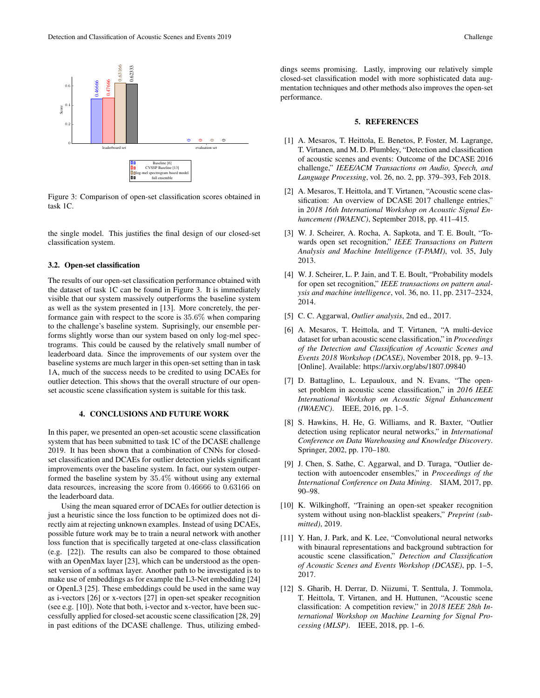

Figure 3: Comparison of open-set classification scores obtained in task 1C.

the single model. This justifies the final design of our closed-set classification system.

#### 3.2. Open-set classification

The results of our open-set classification performance obtained with the dataset of task 1C can be found in Figure 3. It is immediately visible that our system massively outperforms the baseline system as well as the system presented in [13]. More concretely, the performance gain with respect to the score is 35.6% when comparing to the challenge's baseline system. Suprisingly, our ensemble performs slightly worse than our system based on only log-mel spectrograms. This could be caused by the relatively small number of leaderboard data. Since the improvements of our system over the baseline systems are much larger in this open-set setting than in task 1A, much of the success needs to be credited to using DCAEs for outlier detection. This shows that the overall structure of our openset acoustic scene classification system is suitable for this task.

### 4. CONCLUSIONS AND FUTURE WORK

In this paper, we presented an open-set acoustic scene classification system that has been submitted to task 1C of the DCASE challenge 2019. It has been shown that a combination of CNNs for closedset classification and DCAEs for outlier detection yields significant improvements over the baseline system. In fact, our system outperformed the baseline system by 35.4% without using any external data resources, increasing the score from 0.46666 to 0.63166 on the leaderboard data.

Using the mean squared error of DCAEs for outlier detection is just a heuristic since the loss function to be optimized does not directly aim at rejecting unknown examples. Instead of using DCAEs, possible future work may be to train a neural network with another loss function that is specifically targeted at one-class classification (e.g. [22]). The results can also be compared to those obtained with an OpenMax layer [23], which can be understood as the openset version of a softmax layer. Another path to be investigated is to make use of embeddings as for example the L3-Net embedding [24] or OpenL3 [25]. These embeddings could be used in the same way as i-vectors [26] or x-vectors [27] in open-set speaker recognition (see e.g. [10]). Note that both, i-vector and x-vector, have been successfully applied for closed-set acoustic scene classification [28, 29] in past editions of the DCASE challenge. Thus, utilizing embed-

#### 5. REFERENCES

- [1] A. Mesaros, T. Heittola, E. Benetos, P. Foster, M. Lagrange, T. Virtanen, and M. D. Plumbley, "Detection and classification of acoustic scenes and events: Outcome of the DCASE 2016 challenge," *IEEE/ACM Transactions on Audio, Speech, and Language Processing*, vol. 26, no. 2, pp. 379–393, Feb 2018.
- [2] A. Mesaros, T. Heittola, and T. Virtanen, "Acoustic scene classification: An overview of DCASE 2017 challenge entries," in *2018 16th International Workshop on Acoustic Signal Enhancement (IWAENC)*, September 2018, pp. 411–415.
- [3] W. J. Scheirer, A. Rocha, A. Sapkota, and T. E. Boult, "Towards open set recognition," *IEEE Transactions on Pattern Analysis and Machine Intelligence (T-PAMI)*, vol. 35, July 2013.
- [4] W. J. Scheirer, L. P. Jain, and T. E. Boult, "Probability models" for open set recognition," *IEEE transactions on pattern analysis and machine intelligence*, vol. 36, no. 11, pp. 2317–2324, 2014.
- [5] C. C. Aggarwal, *Outlier analysis*, 2nd ed., 2017.
- [6] A. Mesaros, T. Heittola, and T. Virtanen, "A multi-device dataset for urban acoustic scene classification," in *Proceedings of the Detection and Classification of Acoustic Scenes and Events 2018 Workshop (DCASE)*, November 2018, pp. 9–13. [Online]. Available: https://arxiv.org/abs/1807.09840
- [7] D. Battaglino, L. Lepauloux, and N. Evans, "The openset problem in acoustic scene classification," in *2016 IEEE International Workshop on Acoustic Signal Enhancement (IWAENC)*. IEEE, 2016, pp. 1–5.
- [8] S. Hawkins, H. He, G. Williams, and R. Baxter, "Outlier detection using replicator neural networks," in *International Conference on Data Warehousing and Knowledge Discovery*. Springer, 2002, pp. 170–180.
- [9] J. Chen, S. Sathe, C. Aggarwal, and D. Turaga, "Outlier detection with autoencoder ensembles," in *Proceedings of the International Conference on Data Mining*. SIAM, 2017, pp. 90–98.
- [10] K. Wilkinghoff, "Training an open-set speaker recognition system without using non-blacklist speakers," *Preprint (submitted)*, 2019.
- [11] Y. Han, J. Park, and K. Lee, "Convolutional neural networks with binaural representations and background subtraction for acoustic scene classification," *Detection and Classification of Acoustic Scenes and Events Workshop (DCASE)*, pp. 1–5, 2017.
- [12] S. Gharib, H. Derrar, D. Niizumi, T. Senttula, J. Tommola, T. Heittola, T. Virtanen, and H. Huttunen, "Acoustic scene classification: A competition review," in *2018 IEEE 28th International Workshop on Machine Learning for Signal Processing (MLSP)*. IEEE, 2018, pp. 1–6.